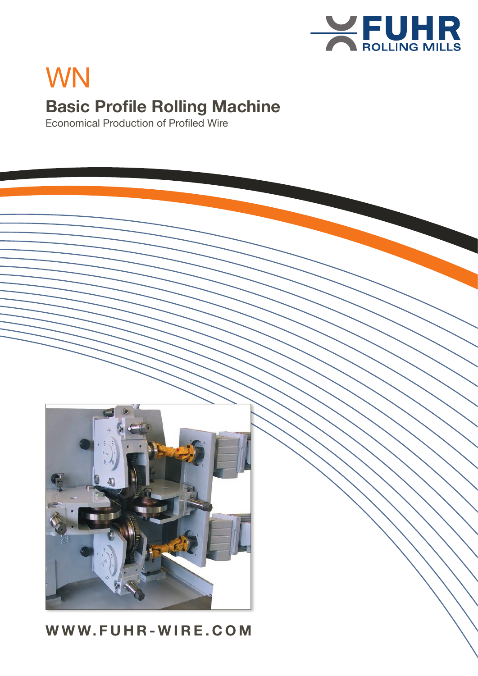

# WN WN **Basic Profile Rolling Machine**

Economical Production of Profiled Wire



## WWW.FUHR-WIRE.COM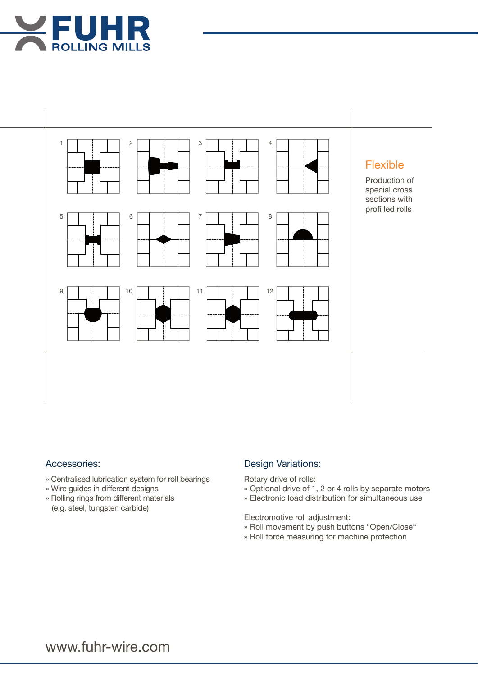



#### Accessories:

- » Centralised lubrication system for roll bearings
- » Wire guides in different designs
- » Rolling rings from different materials (e.g. steel, tungsten carbide)

### **Design Variations:**

Rotary drive of rolls:

- » Optional drive of 1, 2 or 4 rolls by separate motors
- » Optional drive of 1, 2 or 4 rolls by separate motor<br>» Electronic load distribution for simultaneous use

Electromotive roll adjustment:

- » Roll movement by push buttons "Open/Close"
- » Roll force measuring for machine protection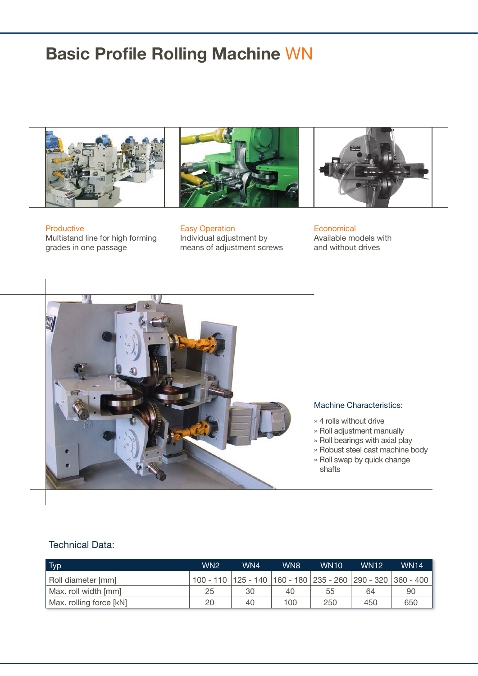





Productive Multistand line for high forming grades in one passage

**Easy Operation** Individual adjustment by means of adjustment screws

**Economical** Available models with and without drives



#### Machine Characteristics:

- » 4 rolls without drive
- » Roll adjustment manually
- » Roll bearings with axial play
- » Robust steel cast machine body » Roll swap by quick change shafts auf Steckachsen gelagert i Steckachsen gelagert i Steckachsen gelagert i Steckachsen gelagert i Steckachsen gelagert i Steckachsen gelagert i Steckachsen gelagert i Steckachsen gelagert i Steckachsen gelagert i Stec

#### Technical Data:

| Typ                     | WN <sub>2</sub> | WN4 | WN8 | <b>WN10</b> | <b>WN12</b> | <b>WN14</b>                                                           |
|-------------------------|-----------------|-----|-----|-------------|-------------|-----------------------------------------------------------------------|
| Roll diameter [mm]      |                 |     |     |             |             | 100 - 110   125 - 140   160 - 180   235 - 260   290 - 320   360 - 400 |
| Max. roll width [mm]    | 25              | 30  | 40  | 55          | 64          | 90                                                                    |
| Max. rolling force [kN] | 20              | 40  | 100 | 250         | 450         | 650                                                                   |